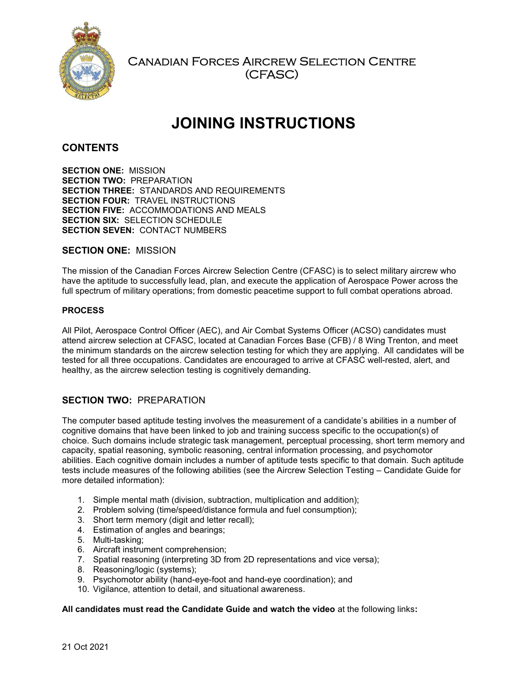

Canadian Forces Aircrew Selection Centre (CFASC)

# JOINING INSTRUCTIONS

# **CONTENTS**

SECTION ONE: MISSION SECTION TWO: PREPARATION SECTION THREE: STANDARDS AND REQUIREMENTS SECTION FOUR: TRAVEL INSTRUCTIONS SECTION FIVE: ACCOMMODATIONS AND MEALS SECTION SIX: SELECTION SCHEDULE SECTION SEVEN: CONTACT NUMBERS

# SECTION ONE: MISSION

The mission of the Canadian Forces Aircrew Selection Centre (CFASC) is to select military aircrew who have the aptitude to successfully lead, plan, and execute the application of Aerospace Power across the full spectrum of military operations; from domestic peacetime support to full combat operations abroad.

# PROCESS

All Pilot, Aerospace Control Officer (AEC), and Air Combat Systems Officer (ACSO) candidates must attend aircrew selection at CFASC, located at Canadian Forces Base (CFB) / 8 Wing Trenton, and meet the minimum standards on the aircrew selection testing for which they are applying. All candidates will be tested for all three occupations. Candidates are encouraged to arrive at CFASC well-rested, alert, and healthy, as the aircrew selection testing is cognitively demanding.

# SECTION TWO: PREPARATION

The computer based aptitude testing involves the measurement of a candidate's abilities in a number of cognitive domains that have been linked to job and training success specific to the occupation(s) of choice. Such domains include strategic task management, perceptual processing, short term memory and capacity, spatial reasoning, symbolic reasoning, central information processing, and psychomotor abilities. Each cognitive domain includes a number of aptitude tests specific to that domain. Such aptitude tests include measures of the following abilities (see the Aircrew Selection Testing – Candidate Guide for more detailed information):

- 1. Simple mental math (division, subtraction, multiplication and addition);
- 2. Problem solving (time/speed/distance formula and fuel consumption);
- 3. Short term memory (digit and letter recall);
- 4. Estimation of angles and bearings;
- 5. Multi-tasking;
- 6. Aircraft instrument comprehension;
- 7. Spatial reasoning (interpreting 3D from 2D representations and vice versa);
- 8. Reasoning/logic (systems);
- 9. Psychomotor ability (hand-eye-foot and hand-eye coordination); and
- 10. Vigilance, attention to detail, and situational awareness.

#### All candidates must read the Candidate Guide and watch the video at the following links: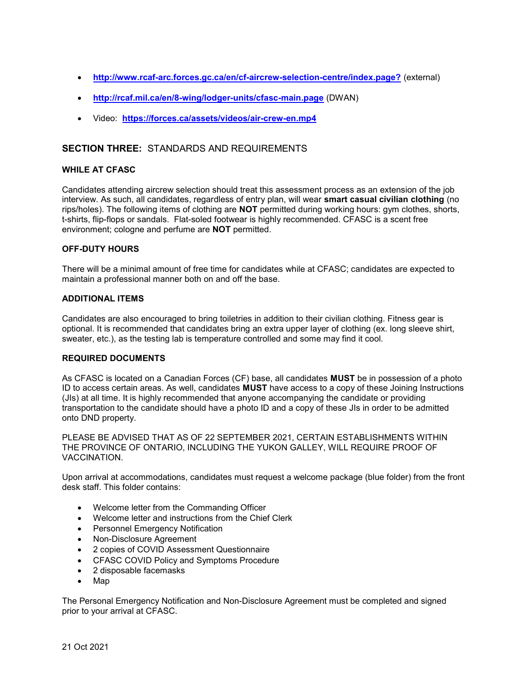- http://www.rcaf-arc.forces.gc.ca/en/cf-aircrew-selection-centre/index.page? (external)
- http://rcaf.mil.ca/en/8-wing/lodger-units/cfasc-main.page (DWAN)
- Video: https://forces.ca/assets/videos/air-crew-en.mp4

# SECTION THREE: STANDARDS AND REQUIREMENTS

#### WHILE AT CFASC

Candidates attending aircrew selection should treat this assessment process as an extension of the job interview. As such, all candidates, regardless of entry plan, will wear smart casual civilian clothing (no rips/holes). The following items of clothing are NOT permitted during working hours: gym clothes, shorts, t-shirts, flip-flops or sandals. Flat-soled footwear is highly recommended. CFASC is a scent free environment; cologne and perfume are NOT permitted.

## OFF-DUTY HOURS

There will be a minimal amount of free time for candidates while at CFASC; candidates are expected to maintain a professional manner both on and off the base.

# ADDITIONAL ITEMS

Candidates are also encouraged to bring toiletries in addition to their civilian clothing. Fitness gear is optional. It is recommended that candidates bring an extra upper layer of clothing (ex. long sleeve shirt, sweater, etc.), as the testing lab is temperature controlled and some may find it cool.

#### REQUIRED DOCUMENTS

As CFASC is located on a Canadian Forces (CF) base, all candidates MUST be in possession of a photo ID to access certain areas. As well, candidates MUST have access to a copy of these Joining Instructions (JIs) at all time. It is highly recommended that anyone accompanying the candidate or providing transportation to the candidate should have a photo ID and a copy of these JIs in order to be admitted onto DND property.

PLEASE BE ADVISED THAT AS OF 22 SEPTEMBER 2021, CERTAIN ESTABLISHMENTS WITHIN THE PROVINCE OF ONTARIO, INCLUDING THE YUKON GALLEY, WILL REQUIRE PROOF OF VACCINATION.

Upon arrival at accommodations, candidates must request a welcome package (blue folder) from the front desk staff. This folder contains:

- Welcome letter from the Commanding Officer
- Welcome letter and instructions from the Chief Clerk
- Personnel Emergency Notification
- Non-Disclosure Agreement
- 2 copies of COVID Assessment Questionnaire
- CFASC COVID Policy and Symptoms Procedure
- 2 disposable facemasks
- Map

The Personal Emergency Notification and Non-Disclosure Agreement must be completed and signed prior to your arrival at CFASC.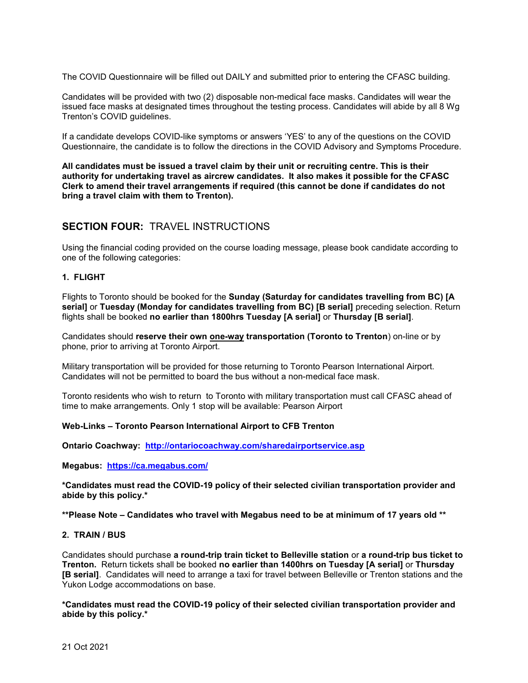The COVID Questionnaire will be filled out DAILY and submitted prior to entering the CFASC building.

Candidates will be provided with two (2) disposable non-medical face masks. Candidates will wear the issued face masks at designated times throughout the testing process. Candidates will abide by all 8 Wg Trenton's COVID guidelines.

If a candidate develops COVID-like symptoms or answers 'YES' to any of the questions on the COVID Questionnaire, the candidate is to follow the directions in the COVID Advisory and Symptoms Procedure.

All candidates must be issued a travel claim by their unit or recruiting centre. This is their authority for undertaking travel as aircrew candidates. It also makes it possible for the CFASC Clerk to amend their travel arrangements if required (this cannot be done if candidates do not bring a travel claim with them to Trenton).

# SECTION FOUR: TRAVEL INSTRUCTIONS

Using the financial coding provided on the course loading message, please book candidate according to one of the following categories:

## 1. FLIGHT

Flights to Toronto should be booked for the Sunday (Saturday for candidates travelling from BC) [A serial] or Tuesday (Monday for candidates travelling from BC) [B serial] preceding selection. Return flights shall be booked no earlier than 1800hrs Tuesday [A serial] or Thursday [B serial].

Candidates should reserve their own **one-way transportation (Toronto to Trenton**) on-line or by phone, prior to arriving at Toronto Airport.

Military transportation will be provided for those returning to Toronto Pearson International Airport. Candidates will not be permitted to board the bus without a non-medical face mask.

Toronto residents who wish to return to Toronto with military transportation must call CFASC ahead of time to make arrangements. Only 1 stop will be available: Pearson Airport

#### Web-Links – Toronto Pearson International Airport to CFB Trenton

Ontario Coachway: http://ontariocoachway.com/sharedairportservice.asp

Megabus: https://ca.megabus.com/

\*Candidates must read the COVID-19 policy of their selected civilian transportation provider and abide by this policy.\*

\*\*Please Note – Candidates who travel with Megabus need to be at minimum of 17 years old \*\*

#### 2. TRAIN / BUS

Candidates should purchase a round-trip train ticket to Belleville station or a round-trip bus ticket to Trenton. Return tickets shall be booked no earlier than 1400hrs on Tuesday [A serial] or Thursday [B serial]. Candidates will need to arrange a taxi for travel between Belleville or Trenton stations and the Yukon Lodge accommodations on base.

\*Candidates must read the COVID-19 policy of their selected civilian transportation provider and abide by this policy.\*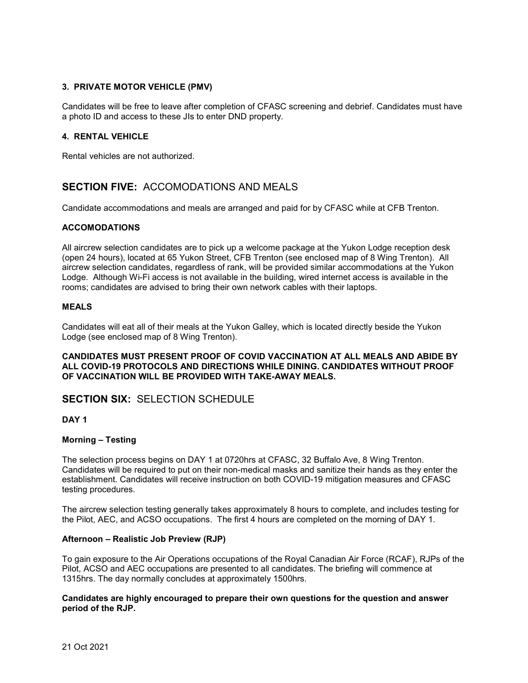## 3. PRIVATE MOTOR VEHICLE (PMV)

Candidates will be free to leave after completion of CFASC screening and debrief. Candidates must have a photo ID and access to these JIs to enter DND property.

## 4. RENTAL VEHICLE

Rental vehicles are not authorized.

# SECTION FIVE: ACCOMODATIONS AND MEALS

Candidate accommodations and meals are arranged and paid for by CFASC while at CFB Trenton.

#### ACCOMODATIONS

All aircrew selection candidates are to pick up a welcome package at the Yukon Lodge reception desk (open 24 hours), located at 65 Yukon Street, CFB Trenton (see enclosed map of 8 Wing Trenton). All aircrew selection candidates, regardless of rank, will be provided similar accommodations at the Yukon Lodge. Although Wi-Fi access is not available in the building, wired internet access is available in the rooms; candidates are advised to bring their own network cables with their laptops.

## MEALS

Candidates will eat all of their meals at the Yukon Galley, which is located directly beside the Yukon Lodge (see enclosed map of 8 Wing Trenton).

CANDIDATES MUST PRESENT PROOF OF COVID VACCINATION AT ALL MEALS AND ABIDE BY ALL COVID-19 PROTOCOLS AND DIRECTIONS WHILE DINING. CANDIDATES WITHOUT PROOF OF VACCINATION WILL BE PROVIDED WITH TAKE-AWAY MEALS.

## SECTION SIX: SELECTION SCHEDULE

DAY 1

#### Morning – Testing

The selection process begins on DAY 1 at 0720hrs at CFASC, 32 Buffalo Ave, 8 Wing Trenton. Candidates will be required to put on their non-medical masks and sanitize their hands as they enter the establishment. Candidates will receive instruction on both COVID-19 mitigation measures and CFASC testing procedures.

The aircrew selection testing generally takes approximately 8 hours to complete, and includes testing for the Pilot, AEC, and ACSO occupations. The first 4 hours are completed on the morning of DAY 1.

#### Afternoon – Realistic Job Preview (RJP)

To gain exposure to the Air Operations occupations of the Royal Canadian Air Force (RCAF), RJPs of the Pilot, ACSO and AEC occupations are presented to all candidates. The briefing will commence at 1315hrs. The day normally concludes at approximately 1500hrs.

#### Candidates are highly encouraged to prepare their own questions for the question and answer period of the RJP.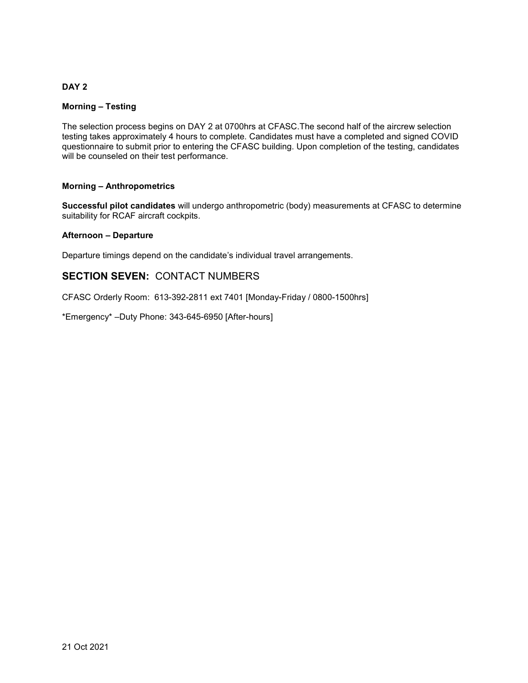## DAY<sub>2</sub>

## Morning – Testing

The selection process begins on DAY 2 at 0700hrs at CFASC.The second half of the aircrew selection testing takes approximately 4 hours to complete. Candidates must have a completed and signed COVID questionnaire to submit prior to entering the CFASC building. Upon completion of the testing, candidates will be counseled on their test performance.

## Morning – Anthropometrics

Successful pilot candidates will undergo anthropometric (body) measurements at CFASC to determine suitability for RCAF aircraft cockpits.

#### Afternoon – Departure

Departure timings depend on the candidate's individual travel arrangements.

# SECTION SEVEN: CONTACT NUMBERS

CFASC Orderly Room: 613-392-2811 ext 7401 [Monday-Friday / 0800-1500hrs]

\*Emergency\* –Duty Phone: 343-645-6950 [After-hours]